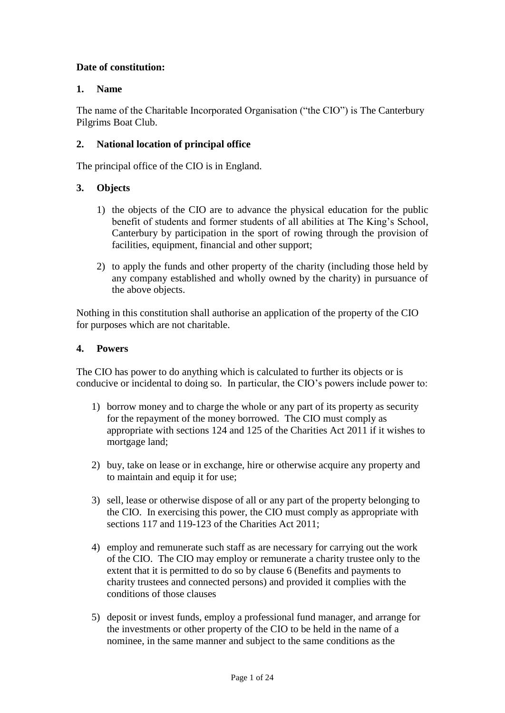# **Date of constitution:**

# **1. Name**

The name of the Charitable Incorporated Organisation ("the CIO") is The Canterbury Pilgrims Boat Club.

# **2. National location of principal office**

The principal office of the CIO is in England.

## **3. Objects**

- 1) the objects of the CIO are to advance the physical education for the public benefit of students and former students of all abilities at The King's School, Canterbury by participation in the sport of rowing through the provision of facilities, equipment, financial and other support;
- 2) to apply the funds and other property of the charity (including those held by any company established and wholly owned by the charity) in pursuance of the above objects.

Nothing in this constitution shall authorise an application of the property of the CIO for purposes which are not charitable.

### **4. Powers**

The CIO has power to do anything which is calculated to further its objects or is conducive or incidental to doing so. In particular, the CIO's powers include power to:

- 1) borrow money and to charge the whole or any part of its property as security for the repayment of the money borrowed. The CIO must comply as appropriate with sections 124 and 125 of the Charities Act 2011 if it wishes to mortgage land;
- 2) buy, take on lease or in exchange, hire or otherwise acquire any property and to maintain and equip it for use;
- 3) sell, lease or otherwise dispose of all or any part of the property belonging to the CIO. In exercising this power, the CIO must comply as appropriate with sections 117 and 119-123 of the Charities Act 2011;
- 4) employ and remunerate such staff as are necessary for carrying out the work of the CIO. The CIO may employ or remunerate a charity trustee only to the extent that it is permitted to do so by clause 6 (Benefits and payments to charity trustees and connected persons) and provided it complies with the conditions of those clauses
- 5) deposit or invest funds, employ a professional fund manager, and arrange for the investments or other property of the CIO to be held in the name of a nominee, in the same manner and subject to the same conditions as the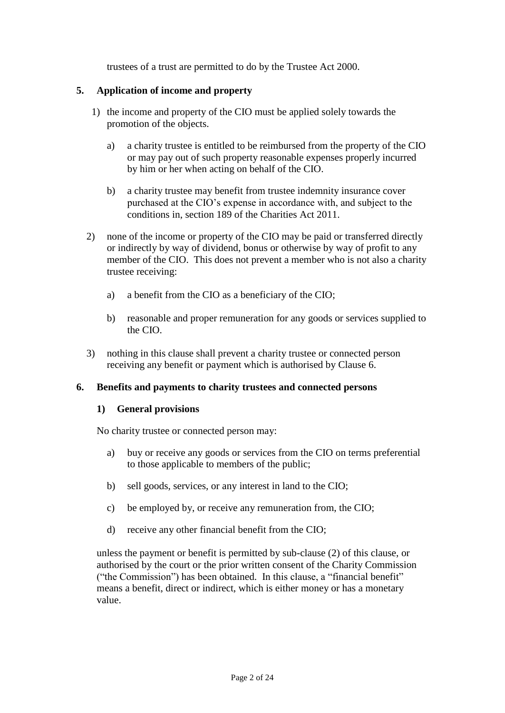trustees of a trust are permitted to do by the Trustee Act 2000.

## **5. Application of income and property**

- 1) the income and property of the CIO must be applied solely towards the promotion of the objects.
	- a) a charity trustee is entitled to be reimbursed from the property of the CIO or may pay out of such property reasonable expenses properly incurred by him or her when acting on behalf of the CIO.
	- b) a charity trustee may benefit from trustee indemnity insurance cover purchased at the CIO's expense in accordance with, and subject to the conditions in, section 189 of the Charities Act 2011.
- 2) none of the income or property of the CIO may be paid or transferred directly or indirectly by way of dividend, bonus or otherwise by way of profit to any member of the CIO. This does not prevent a member who is not also a charity trustee receiving:
	- a) a benefit from the CIO as a beneficiary of the CIO;
	- b) reasonable and proper remuneration for any goods or services supplied to the CIO.
- 3) nothing in this clause shall prevent a charity trustee or connected person receiving any benefit or payment which is authorised by Clause 6.

#### **6. Benefits and payments to charity trustees and connected persons**

#### **1) General provisions**

No charity trustee or connected person may:

- a) buy or receive any goods or services from the CIO on terms preferential to those applicable to members of the public;
- b) sell goods, services, or any interest in land to the CIO;
- c) be employed by, or receive any remuneration from, the CIO;
- d) receive any other financial benefit from the CIO;

unless the payment or benefit is permitted by sub-clause (2) of this clause, or authorised by the court or the prior written consent of the Charity Commission ("the Commission") has been obtained. In this clause, a "financial benefit" means a benefit, direct or indirect, which is either money or has a monetary value.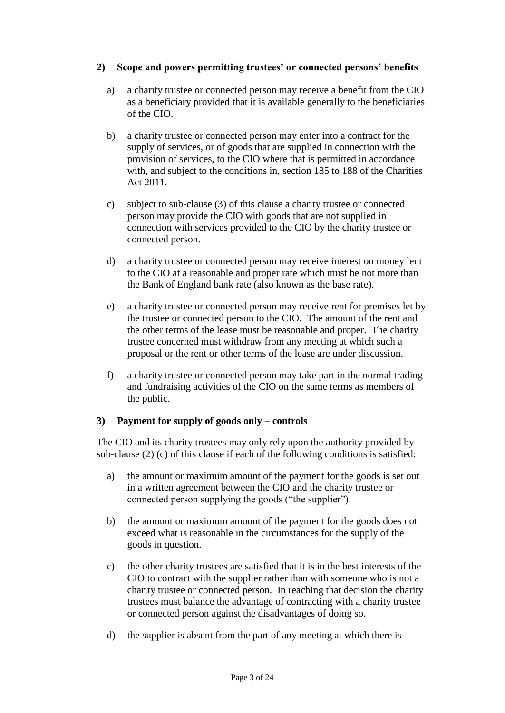## **2) Scope and powers permitting trustees' or connected persons' benefits**

- a) a charity trustee or connected person may receive a benefit from the CIO as a beneficiary provided that it is available generally to the beneficiaries of the CIO.
- b) a charity trustee or connected person may enter into a contract for the supply of services, or of goods that are supplied in connection with the provision of services, to the CIO where that is permitted in accordance with, and subject to the conditions in, section 185 to 188 of the Charities Act 2011.
- c) subject to sub-clause (3) of this clause a charity trustee or connected person may provide the CIO with goods that are not supplied in connection with services provided to the CIO by the charity trustee or connected person.
- d) a charity trustee or connected person may receive interest on money lent to the CIO at a reasonable and proper rate which must be not more than the Bank of England bank rate (also known as the base rate).
- e) a charity trustee or connected person may receive rent for premises let by the trustee or connected person to the CIO. The amount of the rent and the other terms of the lease must be reasonable and proper. The charity trustee concerned must withdraw from any meeting at which such a proposal or the rent or other terms of the lease are under discussion.
- f) a charity trustee or connected person may take part in the normal trading and fundraising activities of the CIO on the same terms as members of the public.

## **3) Payment for supply of goods only – controls**

The CIO and its charity trustees may only rely upon the authority provided by sub-clause (2) (c) of this clause if each of the following conditions is satisfied:

- a) the amount or maximum amount of the payment for the goods is set out in a written agreement between the CIO and the charity trustee or connected person supplying the goods ("the supplier").
- b) the amount or maximum amount of the payment for the goods does not exceed what is reasonable in the circumstances for the supply of the goods in question.
- c) the other charity trustees are satisfied that it is in the best interests of the CIO to contract with the supplier rather than with someone who is not a charity trustee or connected person. In reaching that decision the charity trustees must balance the advantage of contracting with a charity trustee or connected person against the disadvantages of doing so.
- d) the supplier is absent from the part of any meeting at which there is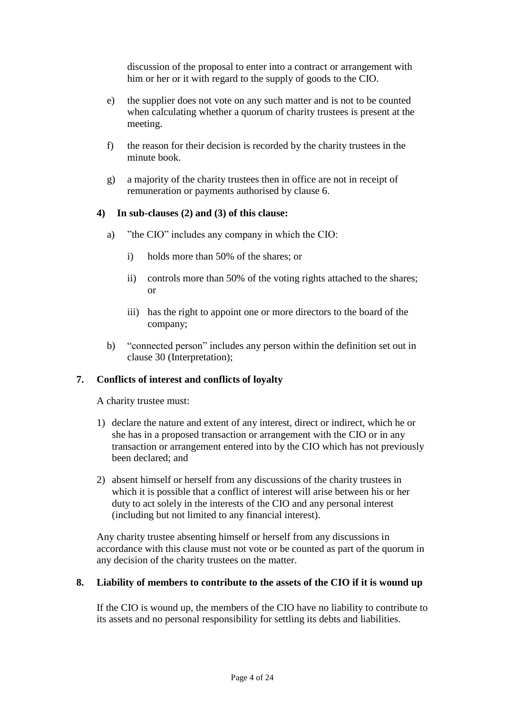discussion of the proposal to enter into a contract or arrangement with him or her or it with regard to the supply of goods to the CIO.

- e) the supplier does not vote on any such matter and is not to be counted when calculating whether a quorum of charity trustees is present at the meeting.
- f) the reason for their decision is recorded by the charity trustees in the minute book.
- g) a majority of the charity trustees then in office are not in receipt of remuneration or payments authorised by clause 6.

### **4) In sub-clauses (2) and (3) of this clause:**

- a) "the CIO" includes any company in which the CIO:
	- i) holds more than 50% of the shares; or
	- ii) controls more than 50% of the voting rights attached to the shares; or
	- iii) has the right to appoint one or more directors to the board of the company;
- b) "connected person" includes any person within the definition set out in clause 30 (Interpretation);

#### **7. Conflicts of interest and conflicts of loyalty**

A charity trustee must:

- 1) declare the nature and extent of any interest, direct or indirect, which he or she has in a proposed transaction or arrangement with the CIO or in any transaction or arrangement entered into by the CIO which has not previously been declared; and
- 2) absent himself or herself from any discussions of the charity trustees in which it is possible that a conflict of interest will arise between his or her duty to act solely in the interests of the CIO and any personal interest (including but not limited to any financial interest).

Any charity trustee absenting himself or herself from any discussions in accordance with this clause must not vote or be counted as part of the quorum in any decision of the charity trustees on the matter.

#### **8. Liability of members to contribute to the assets of the CIO if it is wound up**

If the CIO is wound up, the members of the CIO have no liability to contribute to its assets and no personal responsibility for settling its debts and liabilities.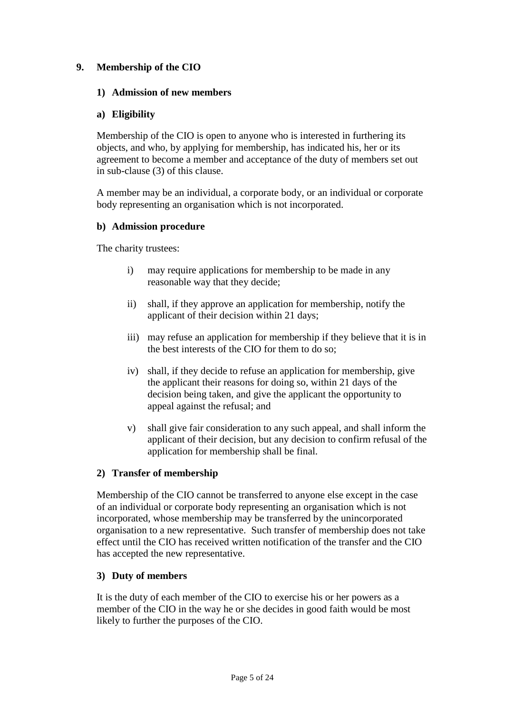# **9. Membership of the CIO**

### **1) Admission of new members**

## **a) Eligibility**

Membership of the CIO is open to anyone who is interested in furthering its objects, and who, by applying for membership, has indicated his, her or its agreement to become a member and acceptance of the duty of members set out in sub-clause (3) of this clause.

A member may be an individual, a corporate body, or an individual or corporate body representing an organisation which is not incorporated.

### **b) Admission procedure**

The charity trustees:

- i) may require applications for membership to be made in any reasonable way that they decide;
- ii) shall, if they approve an application for membership, notify the applicant of their decision within 21 days;
- iii) may refuse an application for membership if they believe that it is in the best interests of the CIO for them to do so;
- iv) shall, if they decide to refuse an application for membership, give the applicant their reasons for doing so, within 21 days of the decision being taken, and give the applicant the opportunity to appeal against the refusal; and
- v) shall give fair consideration to any such appeal, and shall inform the applicant of their decision, but any decision to confirm refusal of the application for membership shall be final.

#### **2) Transfer of membership**

Membership of the CIO cannot be transferred to anyone else except in the case of an individual or corporate body representing an organisation which is not incorporated, whose membership may be transferred by the unincorporated organisation to a new representative. Such transfer of membership does not take effect until the CIO has received written notification of the transfer and the CIO has accepted the new representative.

#### **3) Duty of members**

It is the duty of each member of the CIO to exercise his or her powers as a member of the CIO in the way he or she decides in good faith would be most likely to further the purposes of the CIO.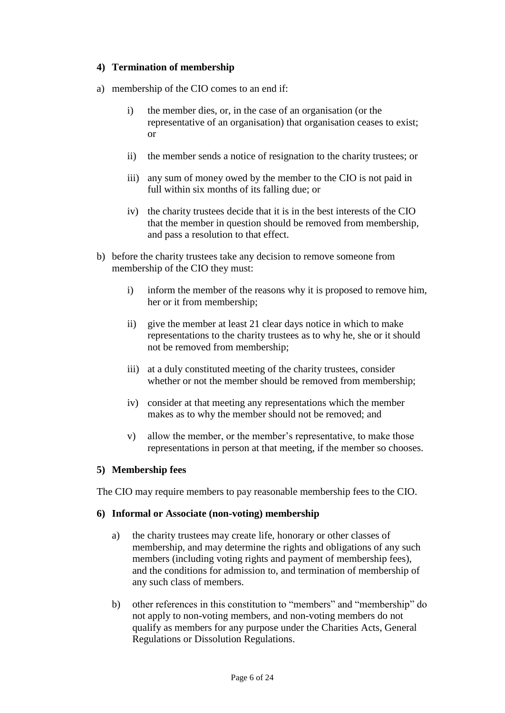### **4) Termination of membership**

- a) membership of the CIO comes to an end if:
	- i) the member dies, or, in the case of an organisation (or the representative of an organisation) that organisation ceases to exist; or
	- ii) the member sends a notice of resignation to the charity trustees; or
	- iii) any sum of money owed by the member to the CIO is not paid in full within six months of its falling due; or
	- iv) the charity trustees decide that it is in the best interests of the CIO that the member in question should be removed from membership, and pass a resolution to that effect.
- b) before the charity trustees take any decision to remove someone from membership of the CIO they must:
	- i) inform the member of the reasons why it is proposed to remove him, her or it from membership;
	- ii) give the member at least 21 clear days notice in which to make representations to the charity trustees as to why he, she or it should not be removed from membership;
	- iii) at a duly constituted meeting of the charity trustees, consider whether or not the member should be removed from membership;
	- iv) consider at that meeting any representations which the member makes as to why the member should not be removed; and
	- v) allow the member, or the member's representative, to make those representations in person at that meeting, if the member so chooses.

#### **5) Membership fees**

The CIO may require members to pay reasonable membership fees to the CIO.

#### **6) Informal or Associate (non-voting) membership**

- a) the charity trustees may create life, honorary or other classes of membership, and may determine the rights and obligations of any such members (including voting rights and payment of membership fees), and the conditions for admission to, and termination of membership of any such class of members.
- b) other references in this constitution to "members" and "membership" do not apply to non-voting members, and non-voting members do not qualify as members for any purpose under the Charities Acts, General Regulations or Dissolution Regulations.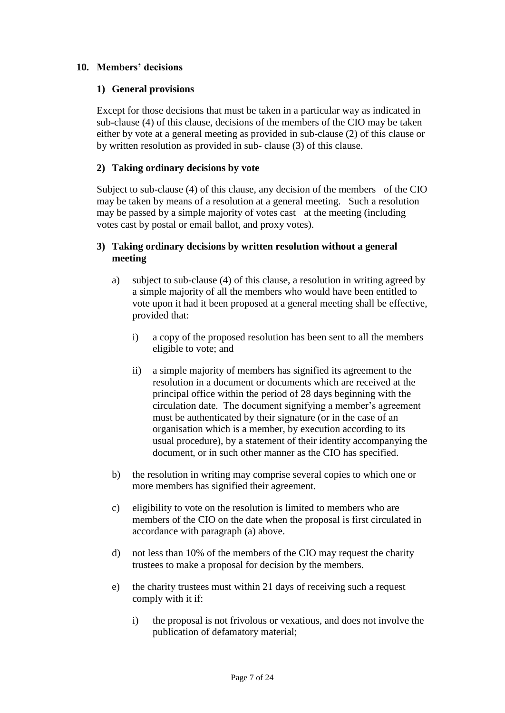## **10. Members' decisions**

#### **1) General provisions**

Except for those decisions that must be taken in a particular way as indicated in sub-clause (4) of this clause, decisions of the members of the CIO may be taken either by vote at a general meeting as provided in sub-clause (2) of this clause or by written resolution as provided in sub- clause (3) of this clause.

#### **2) Taking ordinary decisions by vote**

Subject to sub-clause (4) of this clause, any decision of the members of the CIO may be taken by means of a resolution at a general meeting. Such a resolution may be passed by a simple majority of votes cast at the meeting (including votes cast by postal or email ballot, and proxy votes).

### **3) Taking ordinary decisions by written resolution without a general meeting**

- a) subject to sub-clause (4) of this clause, a resolution in writing agreed by a simple majority of all the members who would have been entitled to vote upon it had it been proposed at a general meeting shall be effective, provided that:
	- i) a copy of the proposed resolution has been sent to all the members eligible to vote; and
	- ii) a simple majority of members has signified its agreement to the resolution in a document or documents which are received at the principal office within the period of 28 days beginning with the circulation date. The document signifying a member's agreement must be authenticated by their signature (or in the case of an organisation which is a member, by execution according to its usual procedure), by a statement of their identity accompanying the document, or in such other manner as the CIO has specified.
- b) the resolution in writing may comprise several copies to which one or more members has signified their agreement.
- c) eligibility to vote on the resolution is limited to members who are members of the CIO on the date when the proposal is first circulated in accordance with paragraph (a) above.
- d) not less than 10% of the members of the CIO may request the charity trustees to make a proposal for decision by the members.
- e) the charity trustees must within 21 days of receiving such a request comply with it if:
	- i) the proposal is not frivolous or vexatious, and does not involve the publication of defamatory material;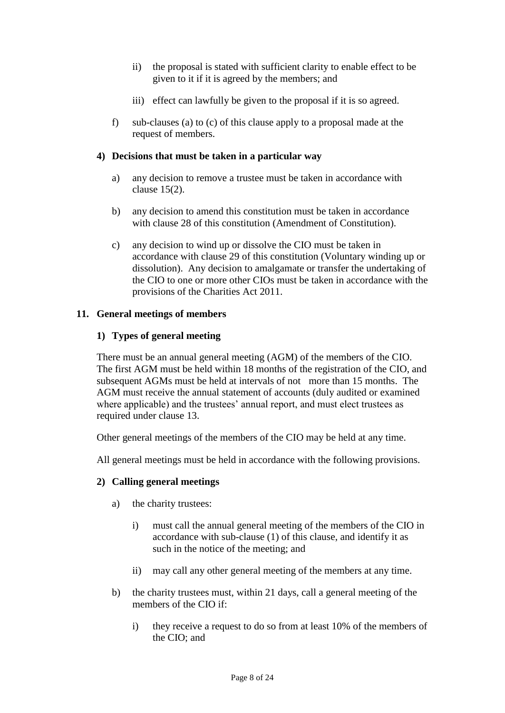- ii) the proposal is stated with sufficient clarity to enable effect to be given to it if it is agreed by the members; and
- iii) effect can lawfully be given to the proposal if it is so agreed.
- f) sub-clauses (a) to (c) of this clause apply to a proposal made at the request of members.

### **4) Decisions that must be taken in a particular way**

- a) any decision to remove a trustee must be taken in accordance with clause 15(2).
- b) any decision to amend this constitution must be taken in accordance with clause 28 of this constitution (Amendment of Constitution).
- c) any decision to wind up or dissolve the CIO must be taken in accordance with clause 29 of this constitution (Voluntary winding up or dissolution). Any decision to amalgamate or transfer the undertaking of the CIO to one or more other CIOs must be taken in accordance with the provisions of the Charities Act 2011.

### **11. General meetings of members**

#### **1) Types of general meeting**

There must be an annual general meeting (AGM) of the members of the CIO. The first AGM must be held within 18 months of the registration of the CIO, and subsequent AGMs must be held at intervals of not more than 15 months. The AGM must receive the annual statement of accounts (duly audited or examined where applicable) and the trustees' annual report, and must elect trustees as required under clause 13.

Other general meetings of the members of the CIO may be held at any time.

All general meetings must be held in accordance with the following provisions.

#### **2) Calling general meetings**

- a) the charity trustees:
	- i) must call the annual general meeting of the members of the CIO in accordance with sub-clause (1) of this clause, and identify it as such in the notice of the meeting; and
	- ii) may call any other general meeting of the members at any time.
- b) the charity trustees must, within 21 days, call a general meeting of the members of the CIO if:
	- i) they receive a request to do so from at least 10% of the members of the CIO; and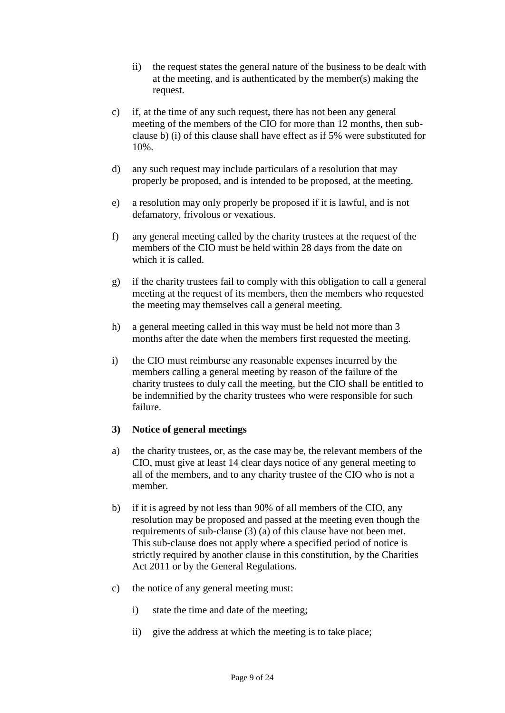- ii) the request states the general nature of the business to be dealt with at the meeting, and is authenticated by the member(s) making the request.
- c) if, at the time of any such request, there has not been any general meeting of the members of the CIO for more than 12 months, then subclause b) (i) of this clause shall have effect as if 5% were substituted for 10%.
- d) any such request may include particulars of a resolution that may properly be proposed, and is intended to be proposed, at the meeting.
- e) a resolution may only properly be proposed if it is lawful, and is not defamatory, frivolous or vexatious.
- f) any general meeting called by the charity trustees at the request of the members of the CIO must be held within 28 days from the date on which it is called.
- g) if the charity trustees fail to comply with this obligation to call a general meeting at the request of its members, then the members who requested the meeting may themselves call a general meeting.
- h) a general meeting called in this way must be held not more than 3 months after the date when the members first requested the meeting.
- i) the CIO must reimburse any reasonable expenses incurred by the members calling a general meeting by reason of the failure of the charity trustees to duly call the meeting, but the CIO shall be entitled to be indemnified by the charity trustees who were responsible for such failure.

#### **3) Notice of general meetings**

- a) the charity trustees, or, as the case may be, the relevant members of the CIO, must give at least 14 clear days notice of any general meeting to all of the members, and to any charity trustee of the CIO who is not a member.
- b) if it is agreed by not less than 90% of all members of the CIO, any resolution may be proposed and passed at the meeting even though the requirements of sub-clause (3) (a) of this clause have not been met. This sub-clause does not apply where a specified period of notice is strictly required by another clause in this constitution, by the Charities Act 2011 or by the General Regulations.
- c) the notice of any general meeting must:
	- i) state the time and date of the meeting;
	- ii) give the address at which the meeting is to take place;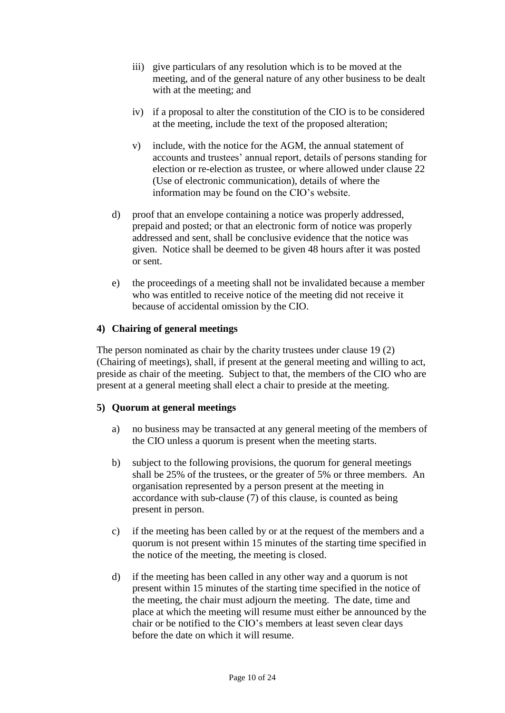- iii) give particulars of any resolution which is to be moved at the meeting, and of the general nature of any other business to be dealt with at the meeting; and
- iv) if a proposal to alter the constitution of the CIO is to be considered at the meeting, include the text of the proposed alteration;
- v) include, with the notice for the AGM, the annual statement of accounts and trustees' annual report, details of persons standing for election or re-election as trustee, or where allowed under clause 22 (Use of electronic communication), details of where the information may be found on the CIO's website.
- d) proof that an envelope containing a notice was properly addressed, prepaid and posted; or that an electronic form of notice was properly addressed and sent, shall be conclusive evidence that the notice was given. Notice shall be deemed to be given 48 hours after it was posted or sent.
- e) the proceedings of a meeting shall not be invalidated because a member who was entitled to receive notice of the meeting did not receive it because of accidental omission by the CIO.

### **4) Chairing of general meetings**

The person nominated as chair by the charity trustees under clause 19 (2) (Chairing of meetings), shall, if present at the general meeting and willing to act, preside as chair of the meeting. Subject to that, the members of the CIO who are present at a general meeting shall elect a chair to preside at the meeting.

### **5) Quorum at general meetings**

- a) no business may be transacted at any general meeting of the members of the CIO unless a quorum is present when the meeting starts.
- b) subject to the following provisions, the quorum for general meetings shall be 25% of the trustees, or the greater of 5% or three members. An organisation represented by a person present at the meeting in accordance with sub-clause (7) of this clause, is counted as being present in person.
- c) if the meeting has been called by or at the request of the members and a quorum is not present within 15 minutes of the starting time specified in the notice of the meeting, the meeting is closed.
- d) if the meeting has been called in any other way and a quorum is not present within 15 minutes of the starting time specified in the notice of the meeting, the chair must adjourn the meeting. The date, time and place at which the meeting will resume must either be announced by the chair or be notified to the CIO's members at least seven clear days before the date on which it will resume.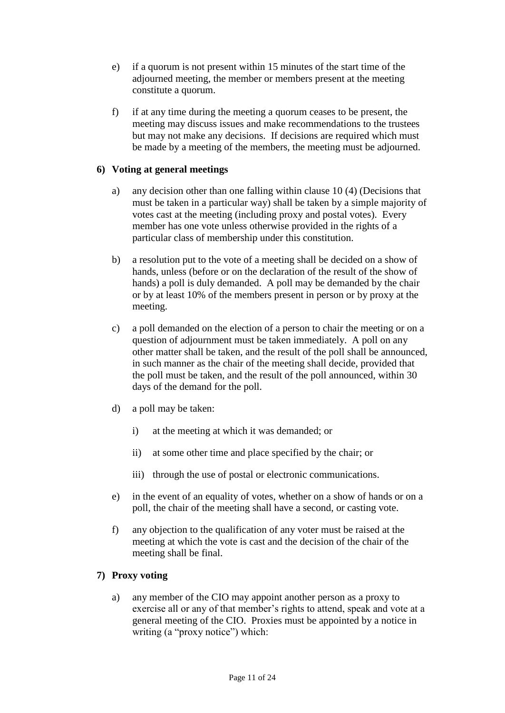- e) if a quorum is not present within 15 minutes of the start time of the adjourned meeting, the member or members present at the meeting constitute a quorum.
- f) if at any time during the meeting a quorum ceases to be present, the meeting may discuss issues and make recommendations to the trustees but may not make any decisions. If decisions are required which must be made by a meeting of the members, the meeting must be adjourned.

### **6) Voting at general meetings**

- a) any decision other than one falling within clause 10 (4) (Decisions that must be taken in a particular way) shall be taken by a simple majority of votes cast at the meeting (including proxy and postal votes). Every member has one vote unless otherwise provided in the rights of a particular class of membership under this constitution.
- b) a resolution put to the vote of a meeting shall be decided on a show of hands, unless (before or on the declaration of the result of the show of hands) a poll is duly demanded. A poll may be demanded by the chair or by at least 10% of the members present in person or by proxy at the meeting.
- c) a poll demanded on the election of a person to chair the meeting or on a question of adjournment must be taken immediately. A poll on any other matter shall be taken, and the result of the poll shall be announced, in such manner as the chair of the meeting shall decide, provided that the poll must be taken, and the result of the poll announced, within 30 days of the demand for the poll.
- d) a poll may be taken:
	- i) at the meeting at which it was demanded; or
	- ii) at some other time and place specified by the chair; or
	- iii) through the use of postal or electronic communications.
- e) in the event of an equality of votes, whether on a show of hands or on a poll, the chair of the meeting shall have a second, or casting vote.
- f) any objection to the qualification of any voter must be raised at the meeting at which the vote is cast and the decision of the chair of the meeting shall be final.

#### **7) Proxy voting**

a) any member of the CIO may appoint another person as a proxy to exercise all or any of that member's rights to attend, speak and vote at a general meeting of the CIO. Proxies must be appointed by a notice in writing (a "proxy notice") which: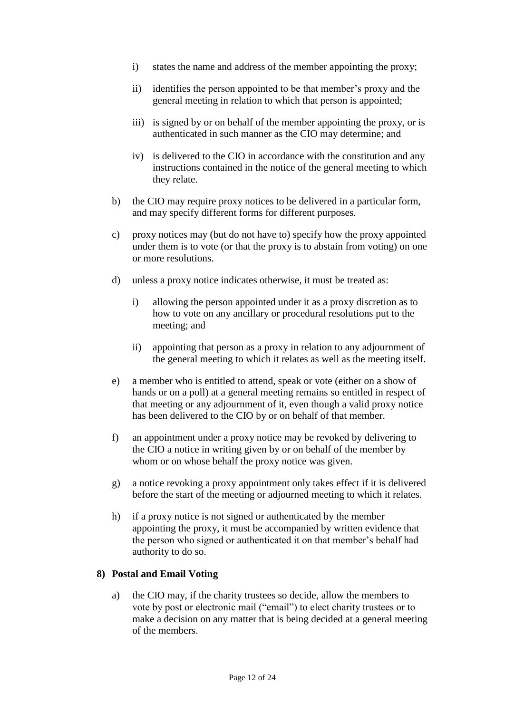- i) states the name and address of the member appointing the proxy;
- ii) identifies the person appointed to be that member's proxy and the general meeting in relation to which that person is appointed;
- iii) is signed by or on behalf of the member appointing the proxy, or is authenticated in such manner as the CIO may determine; and
- iv) is delivered to the CIO in accordance with the constitution and any instructions contained in the notice of the general meeting to which they relate.
- b) the CIO may require proxy notices to be delivered in a particular form, and may specify different forms for different purposes.
- c) proxy notices may (but do not have to) specify how the proxy appointed under them is to vote (or that the proxy is to abstain from voting) on one or more resolutions.
- d) unless a proxy notice indicates otherwise, it must be treated as:
	- i) allowing the person appointed under it as a proxy discretion as to how to vote on any ancillary or procedural resolutions put to the meeting; and
	- ii) appointing that person as a proxy in relation to any adjournment of the general meeting to which it relates as well as the meeting itself.
- e) a member who is entitled to attend, speak or vote (either on a show of hands or on a poll) at a general meeting remains so entitled in respect of that meeting or any adjournment of it, even though a valid proxy notice has been delivered to the CIO by or on behalf of that member.
- f) an appointment under a proxy notice may be revoked by delivering to the CIO a notice in writing given by or on behalf of the member by whom or on whose behalf the proxy notice was given.
- g) a notice revoking a proxy appointment only takes effect if it is delivered before the start of the meeting or adjourned meeting to which it relates.
- h) if a proxy notice is not signed or authenticated by the member appointing the proxy, it must be accompanied by written evidence that the person who signed or authenticated it on that member's behalf had authority to do so.

#### **8) Postal and Email Voting**

a) the CIO may, if the charity trustees so decide, allow the members to vote by post or electronic mail ("email") to elect charity trustees or to make a decision on any matter that is being decided at a general meeting of the members.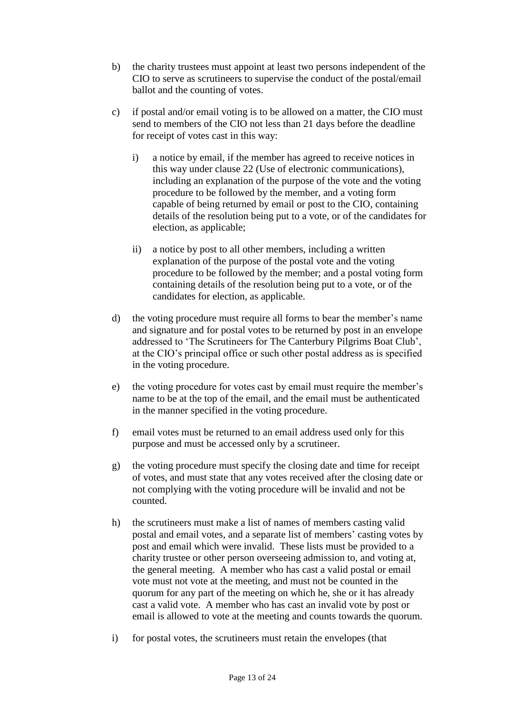- b) the charity trustees must appoint at least two persons independent of the CIO to serve as scrutineers to supervise the conduct of the postal/email ballot and the counting of votes.
- c) if postal and/or email voting is to be allowed on a matter, the CIO must send to members of the CIO not less than 21 days before the deadline for receipt of votes cast in this way:
	- i) a notice by email, if the member has agreed to receive notices in this way under clause 22 (Use of electronic communications), including an explanation of the purpose of the vote and the voting procedure to be followed by the member, and a voting form capable of being returned by email or post to the CIO, containing details of the resolution being put to a vote, or of the candidates for election, as applicable;
	- ii) a notice by post to all other members, including a written explanation of the purpose of the postal vote and the voting procedure to be followed by the member; and a postal voting form containing details of the resolution being put to a vote, or of the candidates for election, as applicable.
- d) the voting procedure must require all forms to bear the member's name and signature and for postal votes to be returned by post in an envelope addressed to 'The Scrutineers for The Canterbury Pilgrims Boat Club', at the CIO's principal office or such other postal address as is specified in the voting procedure.
- e) the voting procedure for votes cast by email must require the member's name to be at the top of the email, and the email must be authenticated in the manner specified in the voting procedure.
- f) email votes must be returned to an email address used only for this purpose and must be accessed only by a scrutineer.
- g) the voting procedure must specify the closing date and time for receipt of votes, and must state that any votes received after the closing date or not complying with the voting procedure will be invalid and not be counted.
- h) the scrutineers must make a list of names of members casting valid postal and email votes, and a separate list of members' casting votes by post and email which were invalid. These lists must be provided to a charity trustee or other person overseeing admission to, and voting at, the general meeting. A member who has cast a valid postal or email vote must not vote at the meeting, and must not be counted in the quorum for any part of the meeting on which he, she or it has already cast a valid vote. A member who has cast an invalid vote by post or email is allowed to vote at the meeting and counts towards the quorum.
- i) for postal votes, the scrutineers must retain the envelopes (that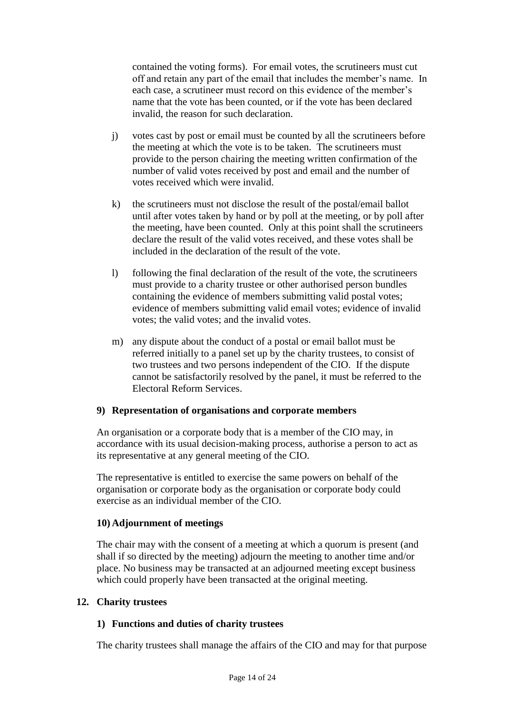contained the voting forms). For email votes, the scrutineers must cut off and retain any part of the email that includes the member's name. In each case, a scrutineer must record on this evidence of the member's name that the vote has been counted, or if the vote has been declared invalid, the reason for such declaration.

- j) votes cast by post or email must be counted by all the scrutineers before the meeting at which the vote is to be taken. The scrutineers must provide to the person chairing the meeting written confirmation of the number of valid votes received by post and email and the number of votes received which were invalid.
- k) the scrutineers must not disclose the result of the postal/email ballot until after votes taken by hand or by poll at the meeting, or by poll after the meeting, have been counted. Only at this point shall the scrutineers declare the result of the valid votes received, and these votes shall be included in the declaration of the result of the vote.
- l) following the final declaration of the result of the vote, the scrutineers must provide to a charity trustee or other authorised person bundles containing the evidence of members submitting valid postal votes; evidence of members submitting valid email votes; evidence of invalid votes; the valid votes; and the invalid votes.
- m) any dispute about the conduct of a postal or email ballot must be referred initially to a panel set up by the charity trustees, to consist of two trustees and two persons independent of the CIO. If the dispute cannot be satisfactorily resolved by the panel, it must be referred to the Electoral Reform Services.

## **9) Representation of organisations and corporate members**

An organisation or a corporate body that is a member of the CIO may, in accordance with its usual decision-making process, authorise a person to act as its representative at any general meeting of the CIO.

The representative is entitled to exercise the same powers on behalf of the organisation or corporate body as the organisation or corporate body could exercise as an individual member of the CIO.

#### **10) Adjournment of meetings**

The chair may with the consent of a meeting at which a quorum is present (and shall if so directed by the meeting) adjourn the meeting to another time and/or place. No business may be transacted at an adjourned meeting except business which could properly have been transacted at the original meeting.

#### **12. Charity trustees**

#### **1) Functions and duties of charity trustees**

The charity trustees shall manage the affairs of the CIO and may for that purpose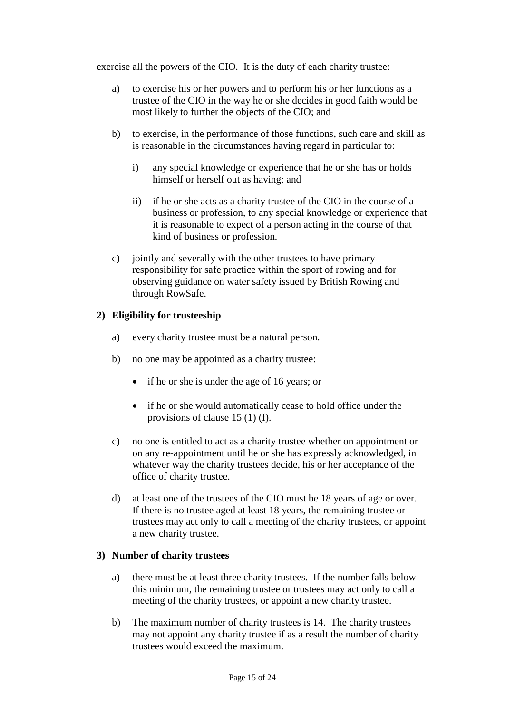exercise all the powers of the CIO. It is the duty of each charity trustee:

- a) to exercise his or her powers and to perform his or her functions as a trustee of the CIO in the way he or she decides in good faith would be most likely to further the objects of the CIO; and
- b) to exercise, in the performance of those functions, such care and skill as is reasonable in the circumstances having regard in particular to:
	- i) any special knowledge or experience that he or she has or holds himself or herself out as having; and
	- ii) if he or she acts as a charity trustee of the CIO in the course of a business or profession, to any special knowledge or experience that it is reasonable to expect of a person acting in the course of that kind of business or profession.
- c) jointly and severally with the other trustees to have primary responsibility for safe practice within the sport of rowing and for observing guidance on water safety issued by British Rowing and through RowSafe.

### **2) Eligibility for trusteeship**

- a) every charity trustee must be a natural person.
- b) no one may be appointed as a charity trustee:
	- if he or she is under the age of 16 years; or
	- if he or she would automatically cease to hold office under the provisions of clause 15 (1) (f).
- c) no one is entitled to act as a charity trustee whether on appointment or on any re-appointment until he or she has expressly acknowledged, in whatever way the charity trustees decide, his or her acceptance of the office of charity trustee.
- d) at least one of the trustees of the CIO must be 18 years of age or over. If there is no trustee aged at least 18 years, the remaining trustee or trustees may act only to call a meeting of the charity trustees, or appoint a new charity trustee.

#### **3) Number of charity trustees**

- a) there must be at least three charity trustees. If the number falls below this minimum, the remaining trustee or trustees may act only to call a meeting of the charity trustees, or appoint a new charity trustee.
- b) The maximum number of charity trustees is 14. The charity trustees may not appoint any charity trustee if as a result the number of charity trustees would exceed the maximum.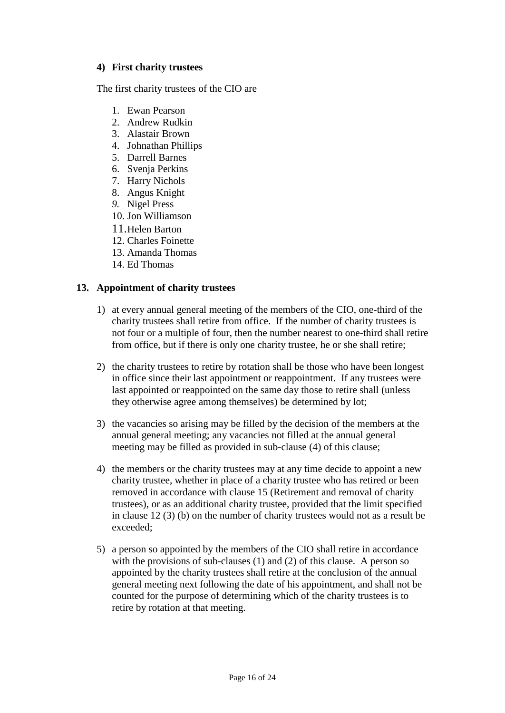### **4) First charity trustees**

The first charity trustees of the CIO are

- 1. Ewan Pearson
- 2. Andrew Rudkin
- 3. Alastair Brown
- 4. Johnathan Phillips
- 5. Darrell Barnes
- 6. Svenja Perkins
- 7. Harry Nichols
- 8. Angus Knight
- *9.* Nigel Press
- 10. Jon Williamson
- 11.Helen Barton
- 12. Charles Foinette
- 13. Amanda Thomas
- 14. Ed Thomas

### **13. Appointment of charity trustees**

- 1) at every annual general meeting of the members of the CIO, one-third of the charity trustees shall retire from office. If the number of charity trustees is not four or a multiple of four, then the number nearest to one-third shall retire from office, but if there is only one charity trustee, he or she shall retire;
- 2) the charity trustees to retire by rotation shall be those who have been longest in office since their last appointment or reappointment. If any trustees were last appointed or reappointed on the same day those to retire shall (unless they otherwise agree among themselves) be determined by lot;
- 3) the vacancies so arising may be filled by the decision of the members at the annual general meeting; any vacancies not filled at the annual general meeting may be filled as provided in sub-clause (4) of this clause;
- 4) the members or the charity trustees may at any time decide to appoint a new charity trustee, whether in place of a charity trustee who has retired or been removed in accordance with clause 15 (Retirement and removal of charity trustees), or as an additional charity trustee, provided that the limit specified in clause 12 (3) (b) on the number of charity trustees would not as a result be exceeded;
- 5) a person so appointed by the members of the CIO shall retire in accordance with the provisions of sub-clauses (1) and (2) of this clause. A person so appointed by the charity trustees shall retire at the conclusion of the annual general meeting next following the date of his appointment, and shall not be counted for the purpose of determining which of the charity trustees is to retire by rotation at that meeting.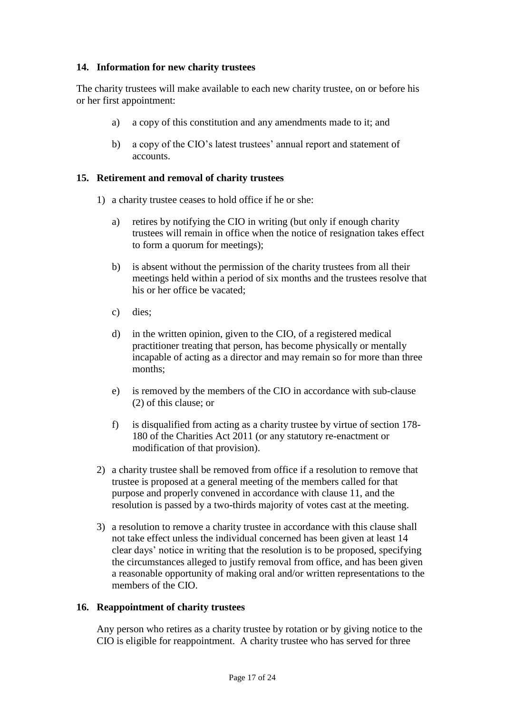## **14. Information for new charity trustees**

The charity trustees will make available to each new charity trustee, on or before his or her first appointment:

- a) a copy of this constitution and any amendments made to it; and
- b) a copy of the CIO's latest trustees' annual report and statement of accounts.

#### **15. Retirement and removal of charity trustees**

- 1) a charity trustee ceases to hold office if he or she:
	- a) retires by notifying the CIO in writing (but only if enough charity trustees will remain in office when the notice of resignation takes effect to form a quorum for meetings);
	- b) is absent without the permission of the charity trustees from all their meetings held within a period of six months and the trustees resolve that his or her office be vacated;
	- c) dies;
	- d) in the written opinion, given to the CIO, of a registered medical practitioner treating that person, has become physically or mentally incapable of acting as a director and may remain so for more than three months;
	- e) is removed by the members of the CIO in accordance with sub-clause (2) of this clause; or
	- f) is disqualified from acting as a charity trustee by virtue of section 178- 180 of the Charities Act 2011 (or any statutory re-enactment or modification of that provision).
- 2) a charity trustee shall be removed from office if a resolution to remove that trustee is proposed at a general meeting of the members called for that purpose and properly convened in accordance with clause 11, and the resolution is passed by a two-thirds majority of votes cast at the meeting.
- 3) a resolution to remove a charity trustee in accordance with this clause shall not take effect unless the individual concerned has been given at least 14 clear days' notice in writing that the resolution is to be proposed, specifying the circumstances alleged to justify removal from office, and has been given a reasonable opportunity of making oral and/or written representations to the members of the CIO.

#### **16. Reappointment of charity trustees**

Any person who retires as a charity trustee by rotation or by giving notice to the CIO is eligible for reappointment. A charity trustee who has served for three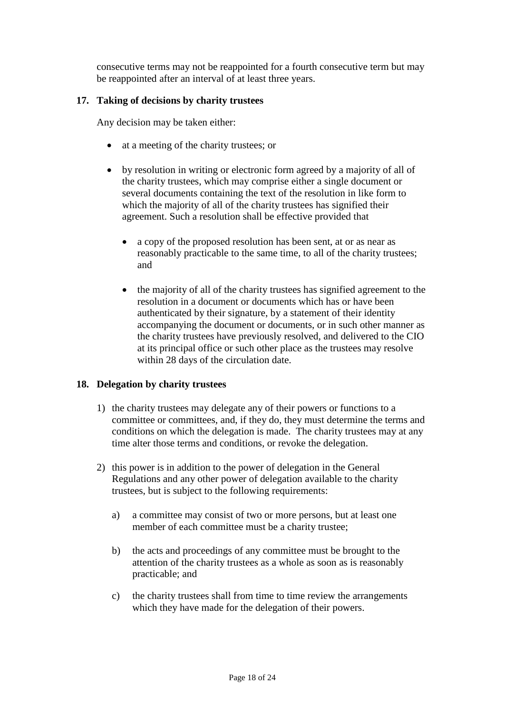consecutive terms may not be reappointed for a fourth consecutive term but may be reappointed after an interval of at least three years.

## **17. Taking of decisions by charity trustees**

Any decision may be taken either:

- at a meeting of the charity trustees; or
- by resolution in writing or electronic form agreed by a majority of all of the charity trustees, which may comprise either a single document or several documents containing the text of the resolution in like form to which the majority of all of the charity trustees has signified their agreement. Such a resolution shall be effective provided that
	- a copy of the proposed resolution has been sent, at or as near as reasonably practicable to the same time, to all of the charity trustees; and
	- the majority of all of the charity trustees has signified agreement to the resolution in a document or documents which has or have been authenticated by their signature, by a statement of their identity accompanying the document or documents, or in such other manner as the charity trustees have previously resolved, and delivered to the CIO at its principal office or such other place as the trustees may resolve within 28 days of the circulation date.

#### **18. Delegation by charity trustees**

- 1) the charity trustees may delegate any of their powers or functions to a committee or committees, and, if they do, they must determine the terms and conditions on which the delegation is made. The charity trustees may at any time alter those terms and conditions, or revoke the delegation.
- 2) this power is in addition to the power of delegation in the General Regulations and any other power of delegation available to the charity trustees, but is subject to the following requirements:
	- a) a committee may consist of two or more persons, but at least one member of each committee must be a charity trustee;
	- b) the acts and proceedings of any committee must be brought to the attention of the charity trustees as a whole as soon as is reasonably practicable; and
	- c) the charity trustees shall from time to time review the arrangements which they have made for the delegation of their powers.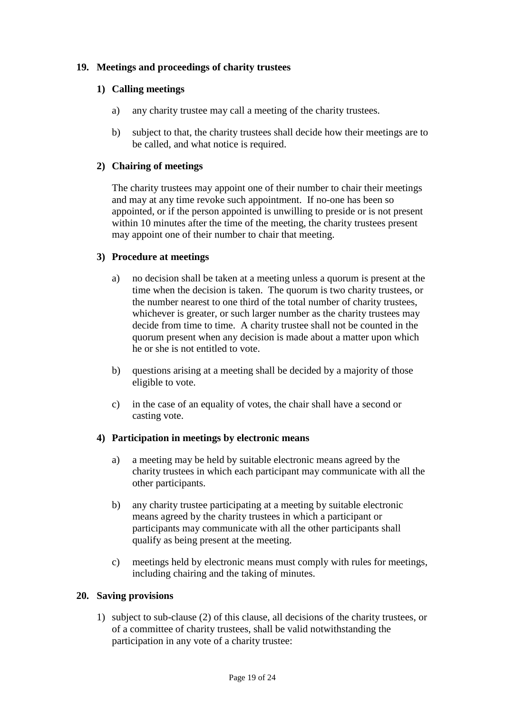## **19. Meetings and proceedings of charity trustees**

### **1) Calling meetings**

- a) any charity trustee may call a meeting of the charity trustees.
- b) subject to that, the charity trustees shall decide how their meetings are to be called, and what notice is required.

## **2) Chairing of meetings**

The charity trustees may appoint one of their number to chair their meetings and may at any time revoke such appointment. If no-one has been so appointed, or if the person appointed is unwilling to preside or is not present within 10 minutes after the time of the meeting, the charity trustees present may appoint one of their number to chair that meeting.

### **3) Procedure at meetings**

- a) no decision shall be taken at a meeting unless a quorum is present at the time when the decision is taken. The quorum is two charity trustees, or the number nearest to one third of the total number of charity trustees, whichever is greater, or such larger number as the charity trustees may decide from time to time. A charity trustee shall not be counted in the quorum present when any decision is made about a matter upon which he or she is not entitled to vote.
- b) questions arising at a meeting shall be decided by a majority of those eligible to vote.
- c) in the case of an equality of votes, the chair shall have a second or casting vote.

#### **4) Participation in meetings by electronic means**

- a) a meeting may be held by suitable electronic means agreed by the charity trustees in which each participant may communicate with all the other participants.
- b) any charity trustee participating at a meeting by suitable electronic means agreed by the charity trustees in which a participant or participants may communicate with all the other participants shall qualify as being present at the meeting.
- c) meetings held by electronic means must comply with rules for meetings, including chairing and the taking of minutes.

#### **20. Saving provisions**

1) subject to sub-clause (2) of this clause, all decisions of the charity trustees, or of a committee of charity trustees, shall be valid notwithstanding the participation in any vote of a charity trustee: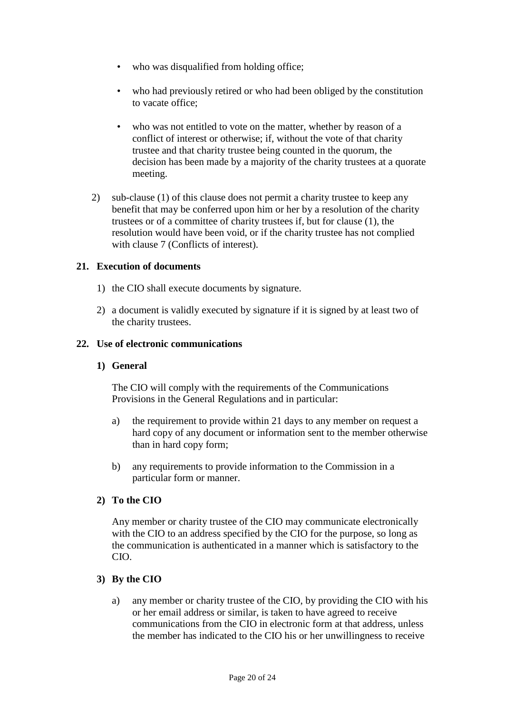- who was disqualified from holding office;
- who had previously retired or who had been obliged by the constitution to vacate office;
- who was not entitled to vote on the matter, whether by reason of a conflict of interest or otherwise; if, without the vote of that charity trustee and that charity trustee being counted in the quorum, the decision has been made by a majority of the charity trustees at a quorate meeting.
- 2) sub-clause (1) of this clause does not permit a charity trustee to keep any benefit that may be conferred upon him or her by a resolution of the charity trustees or of a committee of charity trustees if, but for clause (1), the resolution would have been void, or if the charity trustee has not complied with clause 7 (Conflicts of interest).

## **21. Execution of documents**

- 1) the CIO shall execute documents by signature.
- 2) a document is validly executed by signature if it is signed by at least two of the charity trustees.

### **22. Use of electronic communications**

#### **1) General**

The CIO will comply with the requirements of the Communications Provisions in the General Regulations and in particular:

- a) the requirement to provide within 21 days to any member on request a hard copy of any document or information sent to the member otherwise than in hard copy form;
- b) any requirements to provide information to the Commission in a particular form or manner.

## **2) To the CIO**

Any member or charity trustee of the CIO may communicate electronically with the CIO to an address specified by the CIO for the purpose, so long as the communication is authenticated in a manner which is satisfactory to the CIO.

## **3) By the CIO**

a) any member or charity trustee of the CIO, by providing the CIO with his or her email address or similar, is taken to have agreed to receive communications from the CIO in electronic form at that address, unless the member has indicated to the CIO his or her unwillingness to receive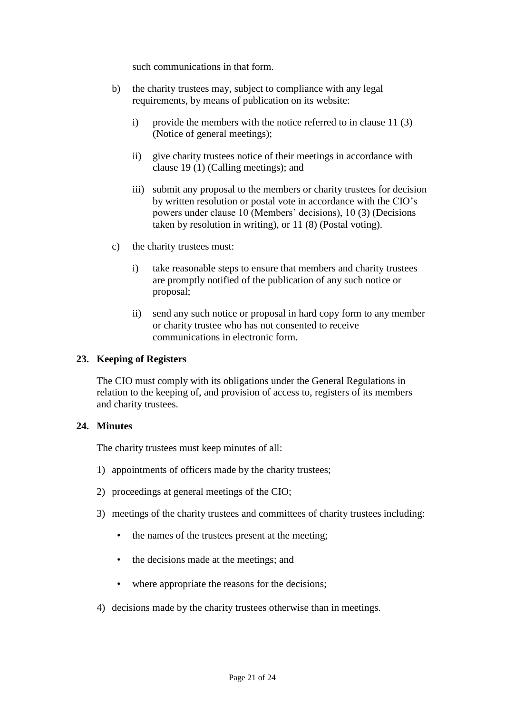such communications in that form.

- b) the charity trustees may, subject to compliance with any legal requirements, by means of publication on its website:
	- i) provide the members with the notice referred to in clause 11 (3) (Notice of general meetings);
	- ii) give charity trustees notice of their meetings in accordance with clause 19 (1) (Calling meetings); and
	- iii) submit any proposal to the members or charity trustees for decision by written resolution or postal vote in accordance with the CIO's powers under clause 10 (Members' decisions), 10 (3) (Decisions taken by resolution in writing), or 11 (8) (Postal voting).
- c) the charity trustees must:
	- i) take reasonable steps to ensure that members and charity trustees are promptly notified of the publication of any such notice or proposal;
	- ii) send any such notice or proposal in hard copy form to any member or charity trustee who has not consented to receive communications in electronic form.

#### **23. Keeping of Registers**

The CIO must comply with its obligations under the General Regulations in relation to the keeping of, and provision of access to, registers of its members and charity trustees.

#### **24. Minutes**

The charity trustees must keep minutes of all:

- 1) appointments of officers made by the charity trustees;
- 2) proceedings at general meetings of the CIO;
- 3) meetings of the charity trustees and committees of charity trustees including:
	- the names of the trustees present at the meeting;
	- the decisions made at the meetings; and
	- where appropriate the reasons for the decisions;
- 4) decisions made by the charity trustees otherwise than in meetings.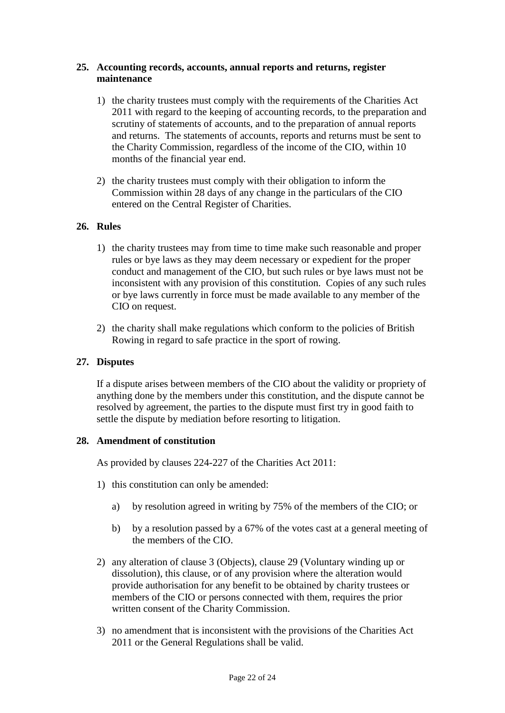### **25. Accounting records, accounts, annual reports and returns, register maintenance**

- 1) the charity trustees must comply with the requirements of the Charities Act 2011 with regard to the keeping of accounting records, to the preparation and scrutiny of statements of accounts, and to the preparation of annual reports and returns. The statements of accounts, reports and returns must be sent to the Charity Commission, regardless of the income of the CIO, within 10 months of the financial year end.
- 2) the charity trustees must comply with their obligation to inform the Commission within 28 days of any change in the particulars of the CIO entered on the Central Register of Charities.

## **26. Rules**

- 1) the charity trustees may from time to time make such reasonable and proper rules or bye laws as they may deem necessary or expedient for the proper conduct and management of the CIO, but such rules or bye laws must not be inconsistent with any provision of this constitution. Copies of any such rules or bye laws currently in force must be made available to any member of the CIO on request.
- 2) the charity shall make regulations which conform to the policies of British Rowing in regard to safe practice in the sport of rowing.

#### **27. Disputes**

If a dispute arises between members of the CIO about the validity or propriety of anything done by the members under this constitution, and the dispute cannot be resolved by agreement, the parties to the dispute must first try in good faith to settle the dispute by mediation before resorting to litigation.

#### **28. Amendment of constitution**

As provided by clauses 224-227 of the Charities Act 2011:

- 1) this constitution can only be amended:
	- a) by resolution agreed in writing by 75% of the members of the CIO; or
	- b) by a resolution passed by a 67% of the votes cast at a general meeting of the members of the CIO.
- 2) any alteration of clause 3 (Objects), clause 29 (Voluntary winding up or dissolution), this clause, or of any provision where the alteration would provide authorisation for any benefit to be obtained by charity trustees or members of the CIO or persons connected with them, requires the prior written consent of the Charity Commission.
- 3) no amendment that is inconsistent with the provisions of the Charities Act 2011 or the General Regulations shall be valid.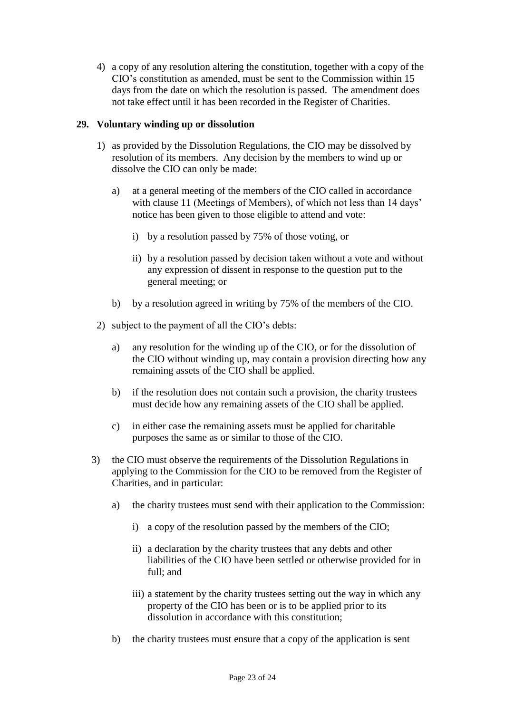4) a copy of any resolution altering the constitution, together with a copy of the CIO's constitution as amended, must be sent to the Commission within 15 days from the date on which the resolution is passed. The amendment does not take effect until it has been recorded in the Register of Charities.

## **29. Voluntary winding up or dissolution**

- 1) as provided by the Dissolution Regulations, the CIO may be dissolved by resolution of its members. Any decision by the members to wind up or dissolve the CIO can only be made:
	- a) at a general meeting of the members of the CIO called in accordance with clause 11 (Meetings of Members), of which not less than 14 days' notice has been given to those eligible to attend and vote:
		- i) by a resolution passed by 75% of those voting, or
		- ii) by a resolution passed by decision taken without a vote and without any expression of dissent in response to the question put to the general meeting; or
	- b) by a resolution agreed in writing by 75% of the members of the CIO.
- 2) subject to the payment of all the CIO's debts:
	- a) any resolution for the winding up of the CIO, or for the dissolution of the CIO without winding up, may contain a provision directing how any remaining assets of the CIO shall be applied.
	- b) if the resolution does not contain such a provision, the charity trustees must decide how any remaining assets of the CIO shall be applied.
	- c) in either case the remaining assets must be applied for charitable purposes the same as or similar to those of the CIO.
- 3) the CIO must observe the requirements of the Dissolution Regulations in applying to the Commission for the CIO to be removed from the Register of Charities, and in particular:
	- a) the charity trustees must send with their application to the Commission:
		- i) a copy of the resolution passed by the members of the CIO;
		- ii) a declaration by the charity trustees that any debts and other liabilities of the CIO have been settled or otherwise provided for in full; and
		- iii) a statement by the charity trustees setting out the way in which any property of the CIO has been or is to be applied prior to its dissolution in accordance with this constitution;
	- b) the charity trustees must ensure that a copy of the application is sent